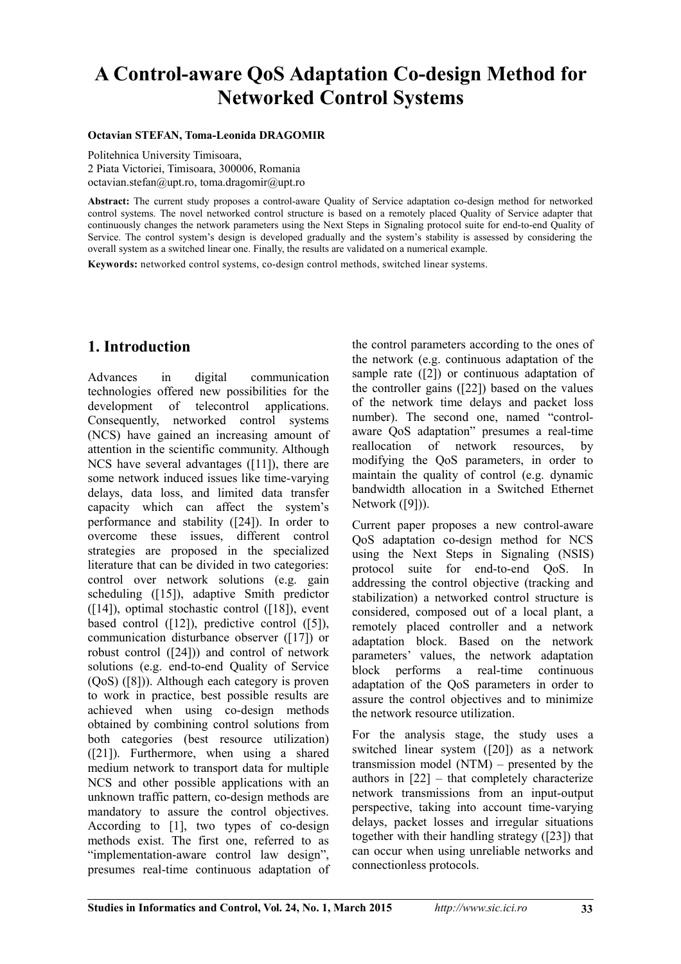# **A Control-aware QoS Adaptation Co-design Method for Networked Control Systems**

#### **Octavian STEFAN, Toma-Leonida DRAGOMIR**

Politehnica University Timisoara, 2 Piata Victoriei, Timisoara, 300006, Romania octavian.stefan@upt.ro, toma.dragomir@upt.ro

**Abstract:** The current study proposes a control-aware Quality of Service adaptation co-design method for networked control systems. The novel networked control structure is based on a remotely placed Quality of Service adapter that continuously changes the network parameters using the Next Steps in Signaling protocol suite for end-to-end Quality of Service. The control system's design is developed gradually and the system's stability is assessed by considering the overall system as a switched linear one. Finally, the results are validated on a numerical example.

**Keywords:** networked control systems, co-design control methods, switched linear systems.

# **1. Introduction**

Advances in digital communication technologies offered new possibilities for the development of telecontrol applications. Consequently, networked control systems (NCS) have gained an increasing amount of attention in the scientific community. Although NCS have several advantages ([11]), there are some network induced issues like time-varying delays, data loss, and limited data transfer capacity which can affect the system's performance and stability ([24]). In order to overcome these issues, different control strategies are proposed in the specialized literature that can be divided in two categories: control over network solutions (e.g. gain scheduling ([15]), adaptive Smith predictor  $(14)$ , optimal stochastic control  $(18)$ , event based control ([12]), predictive control ([5]). communication disturbance observer ([17]) or robust control ([24])) and control of network solutions (e.g. end-to-end Quality of Service (QoS) ([8])). Although each category is proven to work in practice, best possible results are achieved when using co-design methods obtained by combining control solutions from both categories (best resource utilization) ([21]). Furthermore, when using a shared medium network to transport data for multiple NCS and other possible applications with an unknown traffic pattern, co-design methods are mandatory to assure the control objectives. According to [1], two types of co-design methods exist. The first one, referred to as "implementation-aware control law design", presumes real-time continuous adaptation of the control parameters according to the ones of the network (e.g. continuous adaptation of the sample rate ([2]) or continuous adaptation of the controller gains ([22]) based on the values of the network time delays and packet loss number). The second one, named "controlaware QoS adaptation" presumes a real-time reallocation of network resources, by modifying the QoS parameters, in order to maintain the quality of control (e.g. dynamic bandwidth allocation in a Switched Ethernet Network ([9])).

Current paper proposes a new control-aware QoS adaptation co-design method for NCS using the Next Steps in Signaling (NSIS) protocol suite for end-to-end QoS. In addressing the control objective (tracking and stabilization) a networked control structure is considered, composed out of a local plant, a remotely placed controller and a network adaptation block. Based on the network parameters' values, the network adaptation block performs a real-time continuous adaptation of the QoS parameters in order to assure the control objectives and to minimize the network resource utilization.

For the analysis stage, the study uses a switched linear system ([20]) as a network transmission model (NTM) – presented by the authors in [22] – that completely characterize network transmissions from an input-output perspective, taking into account time-varying delays, packet losses and irregular situations together with their handling strategy ([23]) that can occur when using unreliable networks and connectionless protocols.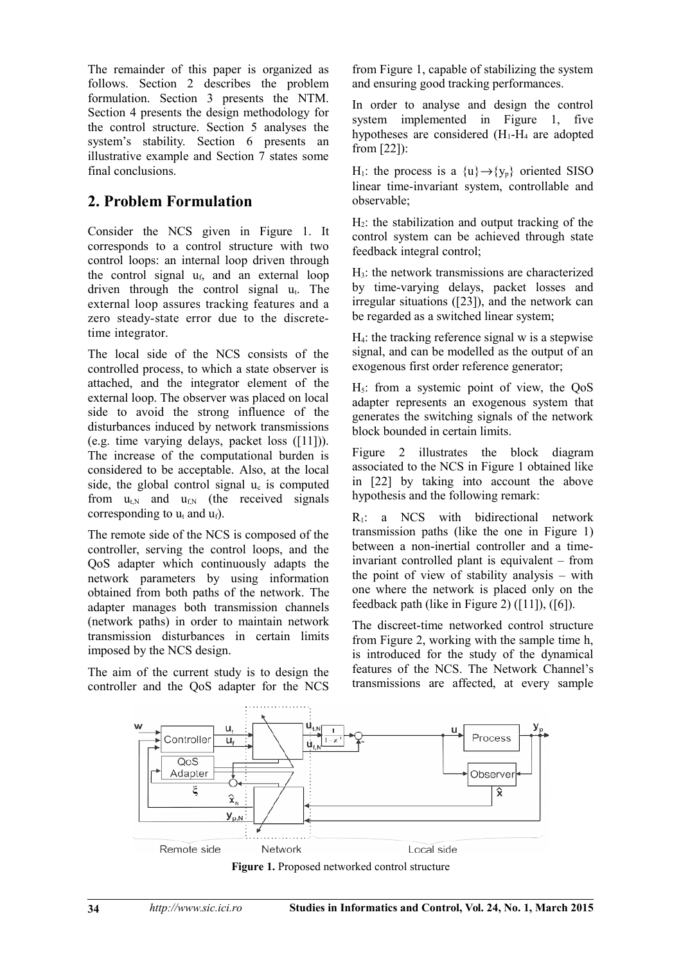The remainder of this paper is organized as follows. Section 2 describes the problem formulation. Section 3 presents the NTM. Section 4 presents the design methodology for the control structure. Section 5 analyses the system's stability. Section 6 presents an illustrative example and Section 7 states some final conclusions.

# **2. Problem Formulation**

Consider the NCS given in Figure 1. It corresponds to a control structure with two control loops: an internal loop driven through the control signal  $u_f$ , and an external loop driven through the control signal  $u_t$ . The external loop assures tracking features and a zero steady-state error due to the discretetime integrator.

The local side of the NCS consists of the controlled process, to which a state observer is attached, and the integrator element of the external loop. The observer was placed on local side to avoid the strong influence of the disturbances induced by network transmissions (e.g. time varying delays, packet loss ([11])). The increase of the computational burden is considered to be acceptable. Also, at the local side, the global control signal  $u_c$  is computed from  $u_{tN}$  and  $u_{fN}$  (the received signals corresponding to  $u_t$  and  $u_f$ ).

The remote side of the NCS is composed of the controller, serving the control loops, and the QoS adapter which continuously adapts the network parameters by using information obtained from both paths of the network. The adapter manages both transmission channels (network paths) in order to maintain network transmission disturbances in certain limits imposed by the NCS design.

The aim of the current study is to design the controller and the QoS adapter for the NCS

from Figure 1, capable of stabilizing the system and ensuring good tracking performances.

In order to analyse and design the control system implemented in Figure 1, five hypotheses are considered  $(H_1-H_4)$  are adopted from [22]):

H<sub>1</sub>: the process is a  $\{u\} \rightarrow \{y_p\}$  oriented SISO linear time-invariant system, controllable and observable;

 $H<sub>2</sub>$ : the stabilization and output tracking of the control system can be achieved through state feedback integral control;

 $H_3$ : the network transmissions are characterized by time-varying delays, packet losses and irregular situations ([23]), and the network can be regarded as a switched linear system;

H4: the tracking reference signal w is a stepwise signal, and can be modelled as the output of an exogenous first order reference generator;

 $H<sub>5</sub>$ : from a systemic point of view, the QoS adapter represents an exogenous system that generates the switching signals of the network block bounded in certain limits.

Figure 2 illustrates the block diagram associated to the NCS in Figure 1 obtained like in [22] by taking into account the above hypothesis and the following remark:

 $R_1$ : a NCS with bidirectional network transmission paths (like the one in Figure 1) between a non-inertial controller and a timeinvariant controlled plant is equivalent – from the point of view of stability analysis – with one where the network is placed only on the feedback path (like in Figure 2) ([11]), ([6]).

The discreet-time networked control structure from Figure 2, working with the sample time h, is introduced for the study of the dynamical features of the NCS. The Network Channel's transmissions are affected, at every sample



**Figure 1.** Proposed networked control structure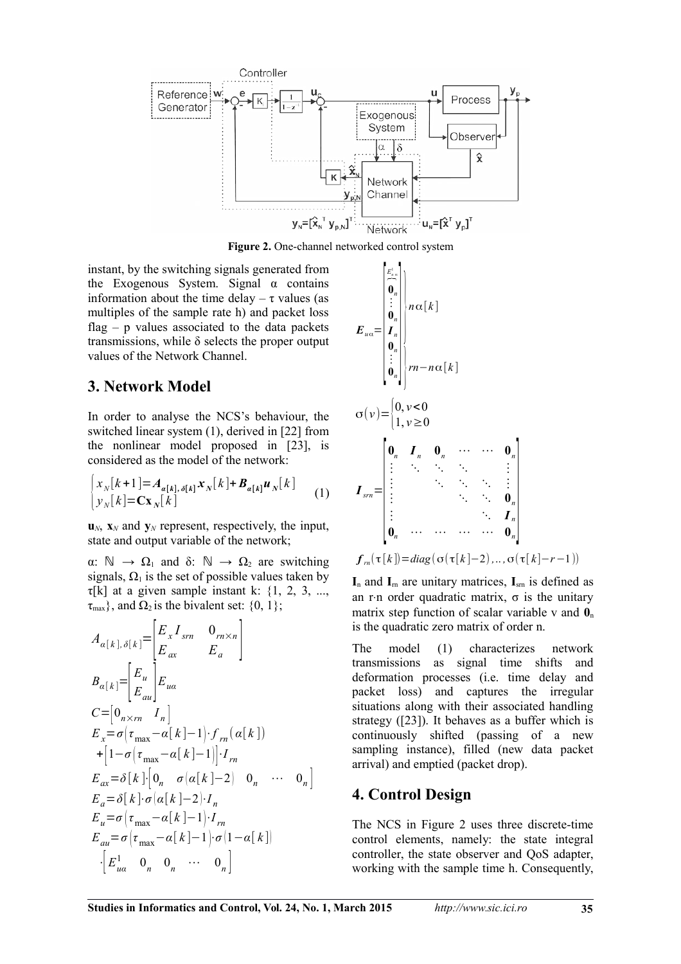

**Figure 2.** One-channel networked control system

٠,

instant, by the switching signals generated from the Exogenous System. Signal  $\alpha$  contains information about the time delay –  $\tau$  values (as multiples of the sample rate h) and packet loss flag  $-$  p values associated to the data packets transmissions, while  $\delta$  selects the proper output values of the Network Channel.

### **3. Network Model**

In order to analyse the NCS's behaviour, the switched linear system (1), derived in [22] from the nonlinear model proposed in [23], is considered as the model of the network:

$$
\begin{cases} x_N[k+1] = A_{\alpha[k], \delta[k]} x_N[k] + B_{\alpha[k]} u_N[k] \\ y_N[k] = \mathbf{C} x_N[k] \end{cases} \tag{1}
$$

 $\mathbf{u}_N$ ,  $\mathbf{x}_N$  and  $\mathbf{v}_N$  represent, respectively, the input, state and output variable of the network;

α:  $\mathbb{N}$  →  $\Omega$ <sub>1</sub> and δ:  $\mathbb{N}$  →  $\Omega$ <sub>2</sub> are switching signals,  $\Omega_1$  is the set of possible values taken by  $\tau[k]$  at a given sample instant k: {1, 2, 3, ...,  $\tau_{\text{max}}$ , and  $\Omega_2$  is the bivalent set: {0, 1};

$$
A_{\alpha[k],\delta[k]} = \begin{bmatrix} E_x I_{sm} & 0_{rn \times n} \\ E_x & E_a \end{bmatrix}
$$
  
\n
$$
B_{\alpha[k]} = \begin{bmatrix} E_u \\ E_{au} \end{bmatrix} E_{ua}
$$
  
\n
$$
C = [0_{n \times rn} I_n]
$$
  
\n
$$
E_x = \sigma(\tau_{max} - \alpha[k] - 1) \cdot f_{rn}(\alpha[k])
$$
  
\n
$$
+ [1 - \sigma(\tau_{max} - \alpha[k] - 1)] \cdot I_m
$$
  
\n
$$
E_{ax} = \delta[k] \cdot [0_n \quad \sigma(\alpha[k] - 2) \quad 0_n \quad \cdots \quad 0_n]
$$
  
\n
$$
E_a = \delta[k] \cdot \sigma(\alpha[k] - 2) \cdot I_n
$$
  
\n
$$
E_u = \sigma(\tau_{max} - \alpha[k] - 1) \cdot I_{rn}
$$
  
\n
$$
E_{au} = \sigma(\tau_{max} - \alpha[k] - 1) \cdot \sigma(1 - \alpha[k])
$$
  
\n
$$
\cdot [E_{ua}^1 \quad 0_n \quad 0_n \quad \cdots \quad 0_n]
$$

$$
E_{u\alpha} = \begin{bmatrix} \frac{E_{u\alpha}^{u}}{0} \\ \vdots \\ E_{u\alpha}^{u} \end{bmatrix} n\alpha[k]
$$
  
\n
$$
\sigma(v) = \begin{bmatrix} 0, v < 0 \\ 0, v \end{bmatrix}
$$
  
\n
$$
\sigma(v) = \begin{bmatrix} 0, v < 0 \\ 1, v \ge 0 \end{bmatrix}
$$
  
\n
$$
I_{sm} = \begin{bmatrix} 0, I_n & 0, \cdots & 0, \\ \vdots & \ddots & \ddots & \vdots \\ \vdots & \ddots & \ddots & \vdots \\ \vdots & \ddots & \ddots & \vdots \\ 0, & \cdots & \cdots & 0 \end{bmatrix}
$$
  
\n
$$
f_m(\tau[k]) = diag(\sigma(\tau[k]-2), \ldots, \sigma(\tau[k]-r-1))
$$

 $I_n$  and  $I_m$  are unitary matrices,  $I_{sm}$  is defined as an r⋅n order quadratic matrix,  $\sigma$  is the unitary matrix step function of scalar variable v and  $\mathbf{0}_n$ 

is the quadratic zero matrix of order n.

The model (1) characterizes network transmissions as signal time shifts and deformation processes (i.e. time delay and packet loss) and captures the irregular situations along with their associated handling strategy ([23]). It behaves as a buffer which is continuously shifted (passing of a new sampling instance), filled (new data packet arrival) and emptied (packet drop).

# **4. Control Design**

The NCS in Figure 2 uses three discrete-time control elements, namely: the state integral controller, the state observer and QoS adapter, working with the sample time h. Consequently,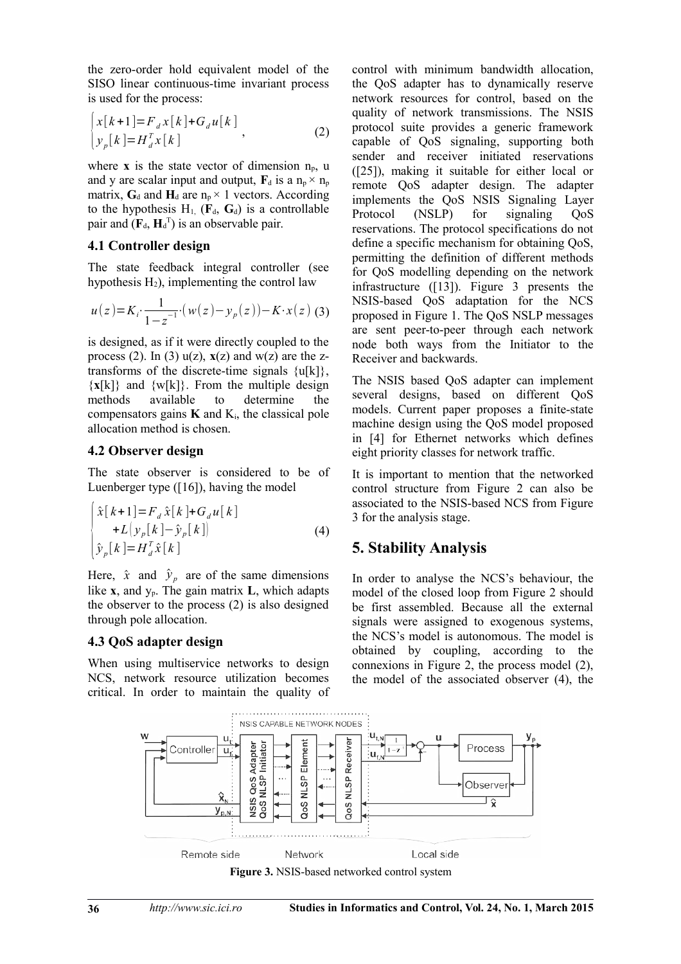the zero-order hold equivalent model of the SISO linear continuous-time invariant process is used for the process:

$$
\begin{cases} x[k+1] = F_d x[k] + G_d u[k] \\ y_p[k] = H_d^T x[k] \end{cases}
$$
 (2)

where **x** is the state vector of dimension  $n_p$ , u and y are scalar input and output,  $\mathbf{F}_d$  is a  $n_p \times n_p$ matrix,  $G_d$  and  $H_d$  are  $n_p \times 1$  vectors. According to the hypothesis  $H_1$ ,  $(\mathbf{F}_d, \mathbf{G}_d)$  is a controllable pair and  $(\mathbf{F}_d, \mathbf{H}_d^{\mathrm{T}})$  is an observable pair.

#### **4.1 Controller design**

The state feedback integral controller (see hypothesis  $H_2$ ), implementing the control law

$$
u(z) = K_i \cdot \frac{1}{1 - z^{-1}} (w(z) - y_p(z)) - K \cdot x(z)
$$
 (3)

is designed, as if it were directly coupled to the process (2). In (3)  $u(z)$ ,  $x(z)$  and  $w(z)$  are the ztransforms of the discrete-time signals  $\{u[k]\},\$  $\{x[k]\}\$  and  $\{w[k]\}\$ . From the multiple design methods available to determine the compensators gains  $\bf{K}$  and  $\bf{K}_i$ , the classical pole allocation method is chosen.

#### **4.2 Observer design**

The state observer is considered to be of Luenberger type  $([16])$ , having the model

$$
\begin{cases}\n\hat{x}[k+1] = F_d \hat{x}[k] + G_d u[k] \\
+ L\left(\frac{y_p[k]}{-\hat{y}_p[k]}\right) \\
\hat{y}_p[k] = H_d^T \hat{x}[k]\n\end{cases}
$$
\n(4)

Here,  $\hat{x}$  and  $\hat{y}_p$  are of the same dimensions like  $\bf{x}$ , and  $\bf{y}_p$ . The gain matrix  $\bf{L}$ , which adapts the observer to the process (2) is also designed through pole allocation.

#### **4.3 QoS adapter design**

When using multiservice networks to design NCS, network resource utilization becomes critical. In order to maintain the quality of control with minimum bandwidth allocation, the QoS adapter has to dynamically reserve network resources for control, based on the quality of network transmissions. The NSIS protocol suite provides a generic framework capable of QoS signaling, supporting both sender and receiver initiated reservations ([25]), making it suitable for either local or remote QoS adapter design. The adapter implements the QoS NSIS Signaling Layer Protocol (NSLP) for signaling OoS reservations. The protocol specifications do not define a specific mechanism for obtaining QoS, permitting the definition of different methods for QoS modelling depending on the network infrastructure ([13]). Figure 3 presents the NSIS-based QoS adaptation for the NCS proposed in Figure 1. The QoS NSLP messages are sent peer-to-peer through each network node both ways from the Initiator to the Receiver and backwards.

The NSIS based QoS adapter can implement several designs, based on different QoS models. Current paper proposes a finite-state machine design using the QoS model proposed in [4] for Ethernet networks which defines eight priority classes for network traffic.

It is important to mention that the networked control structure from Figure 2 can also be associated to the NSIS-based NCS from Figure 3 for the analysis stage.

# **5. Stability Analysis**

In order to analyse the NCS's behaviour, the model of the closed loop from Figure 2 should be first assembled. Because all the external signals were assigned to exogenous systems, the NCS's model is autonomous. The model is obtained by coupling, according to the connexions in Figure 2, the process model (2), the model of the associated observer (4), the



**Figure 3.** NSIS-based networked control system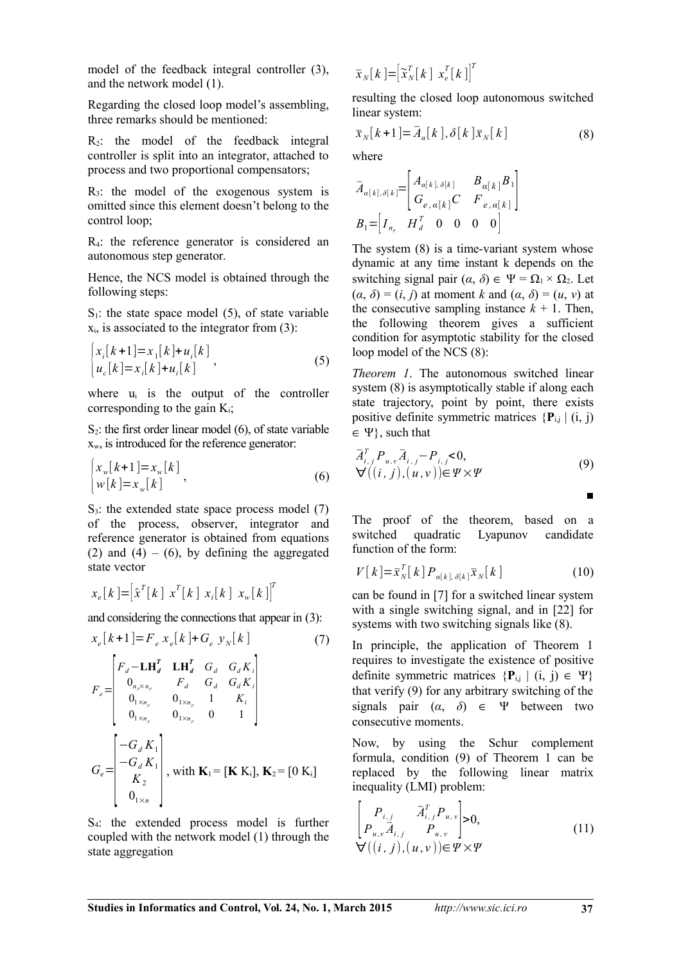model of the feedback integral controller (3), and the network model (1).

Regarding the closed loop model's assembling, three remarks should be mentioned:

 $R_2$ : the model of the feedback integral controller is split into an integrator, attached to process and two proportional compensators;

 $R_3$ : the model of the exogenous system is omitted since this element doesn't belong to the control loop;

R4: the reference generator is considered an autonomous step generator.

Hence, the NCS model is obtained through the following steps:

 $S_1$ : the state space model (5), of state variable  $x_i$ , is associated to the integrator from (3):

$$
\begin{cases} x_i[k+1] = x_1[k] + u_i[k] \\ u_c[k] = x_i[k] + u_i[k] \end{cases},
$$
\n(5)

where  $u_i$  is the output of the controller corresponding to the gain  $K_i$ ;

 $S_2$ : the first order linear model (6), of state variable xw, is introduced for the reference generator:

$$
\begin{cases} x_w[k+1] = x_w[k] \\ w[k] = x_w[k] \end{cases},
$$
\n(6)

 $S_3$ : the extended state space process model (7) of the process, observer, integrator and reference generator is obtained from equations (2) and (4) – (6), by defining the aggregated state vector

$$
x_e[k] = \left[\hat{x}^T[k] \; x^T[k] \; x_i[k] \; x_w[k]\right]^T
$$

and considering the connections that appear in (3):

$$
x_e[k+1] = F_e x_e[k] + G_e y_N[k]
$$
(7)  

$$
F_e = \begin{bmatrix} F_d - LH_d^T & LH_d^T & G_d & G_d K_i \\ 0_{n_x \times n_p} & F_d & G_d & G_d K_i \\ 0_{1 \times n_p} & 0_{1 \times n_p} & 1 & K_i \\ 0_{1 \times n_p} & 0_{1 \times n_p} & 0 & 1 \end{bmatrix}
$$
  

$$
G_e = \begin{bmatrix} -G_d K_1 \\ -G_d K_1 \\ K_2 \\ 0_{1 \times n} \end{bmatrix}
$$
, with  $\mathbf{K}_1 = [\mathbf{K} \mathbf{K}_1], \mathbf{K}_2 = [0 \mathbf{K}_1]$ 

S4: the extended process model is further coupled with the network model (1) through the state aggregation

$$
\bar{\boldsymbol{x}}_{N}[\,k\,]=\left[\widetilde{\boldsymbol{x}}_{N}^{T}[\,k\,]\,\,\boldsymbol{x}_{e}^{T}[\,k\,]\right]^{T}
$$

resulting the closed loop autonomous switched linear system:

$$
\bar{x}_{N}[k+1] = \bar{A}_{\alpha}[k], \delta[k] \bar{x}_{N}[k]
$$
\n(8)

where

$$
\bar{A}_{\alpha[k],\delta[k]} = \begin{bmatrix} A_{\alpha[k],\delta[k]} & B_{\alpha[k]} B_1 \\ G_{e,\alpha[k]} C & F_{e,\alpha[k]} \end{bmatrix}
$$
  

$$
B_1 = \begin{bmatrix} I_{n_p} & H_d^T & 0 & 0 & 0 & 0 \end{bmatrix}
$$

The system (8) is a time-variant system whose dynamic at any time instant k depends on the switching signal pair  $(\alpha, \delta) \in \Psi = \Omega_1 \times \Omega_2$ . Let  $(\alpha, \delta) = (i, j)$  at moment *k* and  $(\alpha, \delta) = (u, v)$  at the consecutive sampling instance  $k + 1$ . Then, the following theorem gives a sufficient condition for asymptotic stability for the closed loop model of the NCS (8):

*Theorem 1*. The autonomous switched linear system (8) is asymptotically stable if along each state trajectory, point by point, there exists positive definite symmetric matrices  ${P_{i,j} | (i, j)}$  $\in \Psi$ , such that

$$
\overline{A}_{i,j}^T P_{u,v} \overline{A}_{i,j} - P_{i,j} < 0,
$$
  
\n
$$
\forall ((i, j), (u, v)) \in \Psi \times \Psi
$$
\n(9)

The proof of the theorem, based on a switched quadratic Lyapunov candidate function of the form:

$$
V[k] = \overline{x}_{N}^{T}[k] P_{\alpha[k],\delta[k]} \overline{x}_{N}[k]
$$
\n(10)

can be found in [7] for a switched linear system with a single switching signal, and in [22] for systems with two switching signals like (8).

In principle, the application of Theorem 1 requires to investigate the existence of positive definite symmetric matrices  $\{P_{i,j} | (i, j) \in \Psi\}$ that verify (9) for any arbitrary switching of the signals pair  $(\alpha, \delta) \in \Psi$  between two consecutive moments.

Now, by using the Schur complement formula, condition (9) of Theorem 1 can be replaced by the following linear matrix inequality (LMI) problem:

$$
\begin{bmatrix} P_{i,j} & \bar{A}_{i,j}^T P_{u,v} \\ P_{u,v} \bar{A}_{i,j} & P_{u,v} \end{bmatrix} > 0,
$$
  
\n
$$
\forall ((i, j), (u, v)) \in \Psi \times \Psi
$$
 (11)

■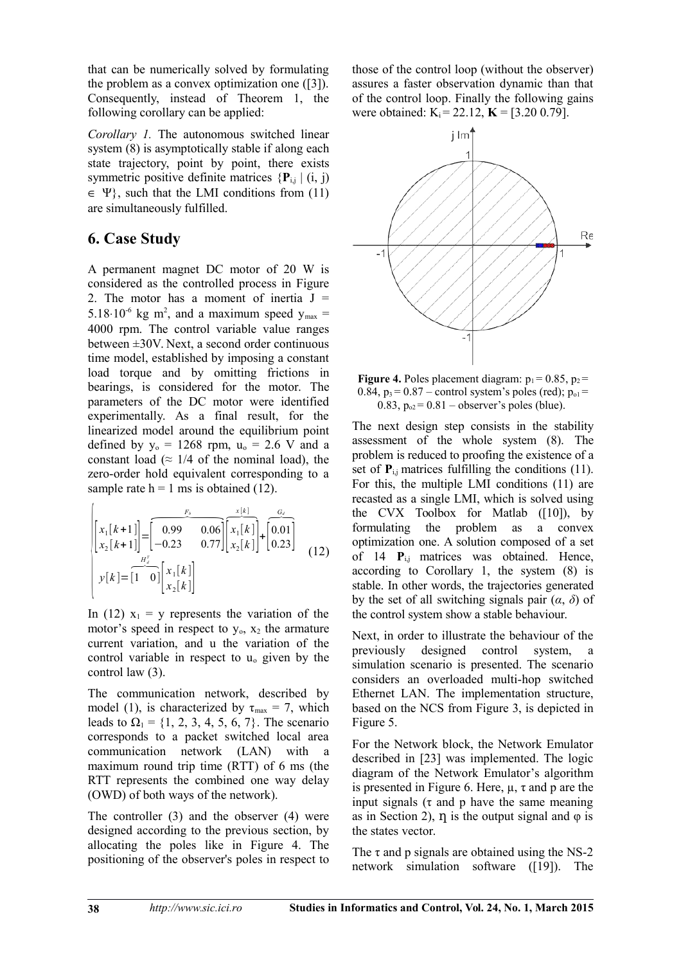that can be numerically solved by formulating the problem as a convex optimization one ([3]). Consequently, instead of Theorem 1, the following corollary can be applied:

*Corollary 1.* The autonomous switched linear system (8) is asymptotically stable if along each state trajectory, point by point, there exists symmetric positive definite matrices  $\{P_{i,j} | (i, j)\}$  $\in \Psi$ , such that the LMI conditions from (11) are simultaneously fulfilled.

# **6. Case Study**

A permanent magnet DC motor of 20 W is considered as the controlled process in Figure 2. The motor has a moment of inertia  $J =$ 5.18 $\cdot$ 10<sup>-6</sup> kg m<sup>2</sup>, and a maximum speed  $y_{\text{max}} =$ 4000 rpm. The control variable value ranges between ±30V. Next, a second order continuous time model, established by imposing a constant load torque and by omitting frictions in bearings, is considered for the motor. The parameters of the DC motor were identified experimentally. As a final result, for the linearized model around the equilibrium point defined by  $y_0 = 1268$  rpm,  $u_0 = 2.6$  V and a constant load ( $\approx$  1/4 of the nominal load), the zero-order hold equivalent corresponding to a

$$
\begin{aligned}\n&\text{sample rate h} = 1 \text{ ms is obtained (12).} \\
&\begin{bmatrix}\nx_1[k+1] \\
x_2[k+1]\n\end{bmatrix} = \begin{bmatrix}\n\frac{F_b}{2} & \frac{x[k]}{2} \\
-0.23 & 0.77\n\end{bmatrix} \begin{bmatrix}\nx_1[k] \\
x_2[k]\n\end{bmatrix} + \begin{bmatrix}\n0.01 \\
0.23\n\end{bmatrix} \\
y[k] = \begin{bmatrix}\n1 & 0\n\end{bmatrix} \begin{bmatrix}\nx_1[k] \\
x_2[k]\n\end{bmatrix}\n\end{aligned}
$$
\n(12)

In (12)  $x_1 = y$  represents the variation of the motor's speed in respect to  $y_0$ ,  $x_2$  the armature current variation, and u the variation of the control variable in respect to uo given by the control law (3).

The communication network, described by model (1), is characterized by  $\tau_{\text{max}} = 7$ , which leads to  $\Omega_1 = \{1, 2, 3, 4, 5, 6, 7\}$ . The scenario corresponds to a packet switched local area communication network (LAN) with a maximum round trip time (RTT) of 6 ms (the RTT represents the combined one way delay (OWD) of both ways of the network).

The controller (3) and the observer (4) were designed according to the previous section, by allocating the poles like in Figure 4. The positioning of the observer's poles in respect to those of the control loop (without the observer) assures a faster observation dynamic than that of the control loop. Finally the following gains were obtained:  $K_i = 22.12$ ,  $K = [3.20 0.79]$ .



**Figure 4.** Poles placement diagram:  $p_1 = 0.85$ ,  $p_2 =$ 0.84,  $p_3$  = 0.87 – control system's poles (red);  $p_{01}$  = 0.83,  $p_{02} = 0.81$  – observer's poles (blue).

The next design step consists in the stability assessment of the whole system (8). The problem is reduced to proofing the existence of a set of  $P_{i,j}$  matrices fulfilling the conditions (11). For this, the multiple LMI conditions (11) are recasted as a single LMI, which is solved using the CVX Toolbox for Matlab ([10]), by formulating the problem as a convex optimization one. A solution composed of a set of 14 **P**<sub>i,j</sub> matrices was obtained. Hence, according to Corollary 1, the system (8) is stable. In other words, the trajectories generated by the set of all switching signals pair (*α*, *δ*) of the control system show a stable behaviour.

Next, in order to illustrate the behaviour of the previously designed control system, a simulation scenario is presented. The scenario considers an overloaded multi-hop switched Ethernet LAN. The implementation structure, based on the NCS from Figure 3, is depicted in Figure 5.

For the Network block, the Network Emulator described in [23] was implemented. The logic diagram of the Network Emulator's algorithm is presented in Figure 6. Here, µ, τ and p are the input signals ( $\tau$  and  $p$  have the same meaning as in Section 2),  $\eta$  is the output signal and  $\varphi$  is the states vector.

The  $\tau$  and p signals are obtained using the NS-2 network simulation software ([19]). The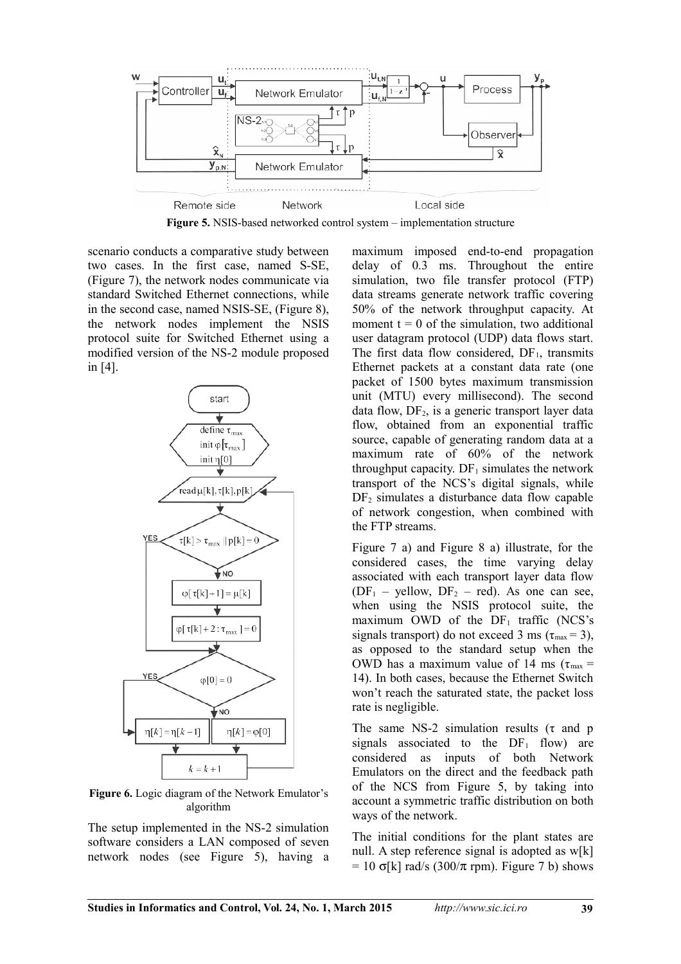

**Figure 5.** NSIS-based networked control system – implementation structure

scenario conducts a comparative study between two cases. In the first case, named S-SE, (Figure 7), the network nodes communicate via standard Switched Ethernet connections, while in the second case, named NSIS-SE, (Figure 8), the network nodes implement the NSIS protocol suite for Switched Ethernet using a modified version of the NS-2 module proposed in [4].



**Figure 6.** Logic diagram of the Network Emulator's algorithm

The setup implemented in the NS-2 simulation software considers a LAN composed of seven network nodes (see Figure 5), having a maximum imposed end-to-end propagation delay of 0.3 ms. Throughout the entire simulation, two file transfer protocol (FTP) data streams generate network traffic covering 50% of the network throughput capacity. At moment  $t = 0$  of the simulation, two additional user datagram protocol (UDP) data flows start. The first data flow considered,  $DF_1$ , transmits Ethernet packets at a constant data rate (one packet of 1500 bytes maximum transmission unit (MTU) every millisecond). The second data flow,  $DF<sub>2</sub>$ , is a generic transport layer data flow, obtained from an exponential traffic source, capable of generating random data at a maximum rate of 60% of the network throughput capacity.  $DF_1$  simulates the network transport of the NCS's digital signals, while  $DF<sub>2</sub>$  simulates a disturbance data flow capable of network congestion, when combined with the FTP streams.

Figure 7 a) and Figure 8 a) illustrate, for the considered cases, the time varying delay associated with each transport layer data flow  $(DF<sub>1</sub> - yellow, DF<sub>2</sub> - red)$ . As one can see, when using the NSIS protocol suite, the maximum OWD of the  $DF_1$  traffic (NCS's signals transport) do not exceed 3 ms ( $\tau_{\text{max}}$  = 3), as opposed to the standard setup when the OWD has a maximum value of 14 ms ( $\tau_{\text{max}}$  = 14). In both cases, because the Ethernet Switch won't reach the saturated state, the packet loss rate is negligible.

The same NS-2 simulation results ( $\tau$  and p signals associated to the  $DF_1$  flow) are considered as inputs of both Network Emulators on the direct and the feedback path of the NCS from Figure 5, by taking into account a symmetric traffic distribution on both ways of the network.

The initial conditions for the plant states are null. A step reference signal is adopted as w[k]  $= 10$  σ[k] rad/s (300/π rpm). Figure 7 b) shows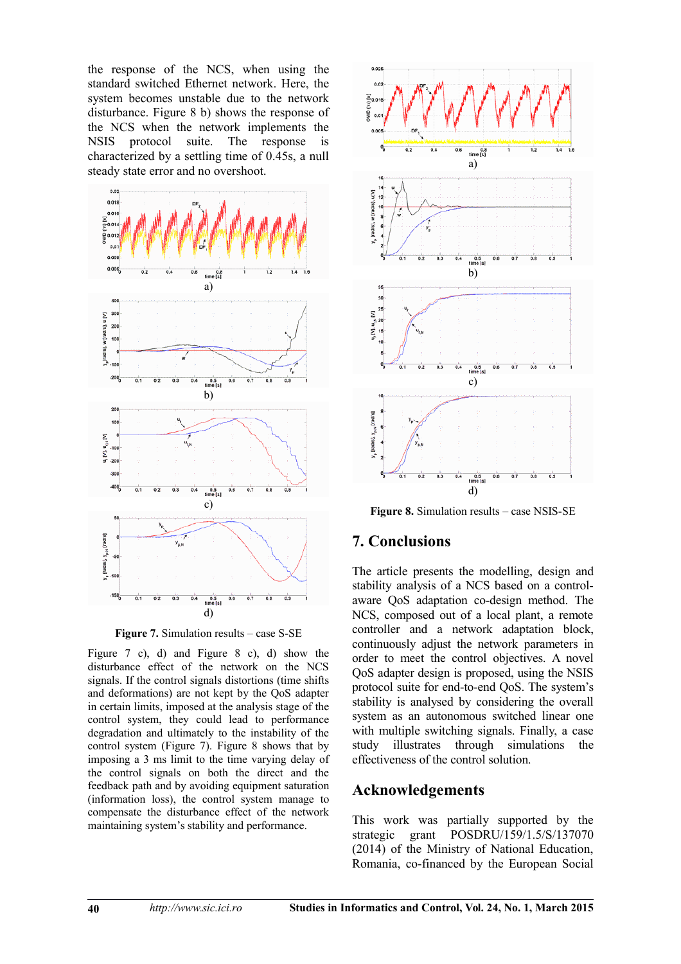the response of the NCS, when using the standard switched Ethernet network. Here, the system becomes unstable due to the network disturbance. Figure 8 b) shows the response of the NCS when the network implements the NSIS protocol suite. The response is characterized by a settling time of 0.45s, a null steady state error and no overshoot.



**Figure 7.** Simulation results – case S-SE

Figure 7 c), d) and Figure 8 c), d) show the disturbance effect of the network on the NCS signals. If the control signals distortions (time shifts and deformations) are not kept by the QoS adapter in certain limits, imposed at the analysis stage of the control system, they could lead to performance degradation and ultimately to the instability of the control system (Figure 7). Figure 8 shows that by imposing a 3 ms limit to the time varying delay of the control signals on both the direct and the feedback path and by avoiding equipment saturation (information loss), the control system manage to compensate the disturbance effect of the network maintaining system's stability and performance.



**Figure 8.** Simulation results – case NSIS-SE

# **7. Conclusions**

The article presents the modelling, design and stability analysis of a NCS based on a controlaware QoS adaptation co-design method. The NCS, composed out of a local plant, a remote controller and a network adaptation block, continuously adjust the network parameters in order to meet the control objectives. A novel QoS adapter design is proposed, using the NSIS protocol suite for end-to-end QoS. The system's stability is analysed by considering the overall system as an autonomous switched linear one with multiple switching signals. Finally, a case study illustrates through simulations the effectiveness of the control solution.

# **Acknowledgements**

This work was partially supported by the strategic grant POSDRU/159/1.5/S/137070 (2014) of the Ministry of National Education, Romania, co-financed by the European Social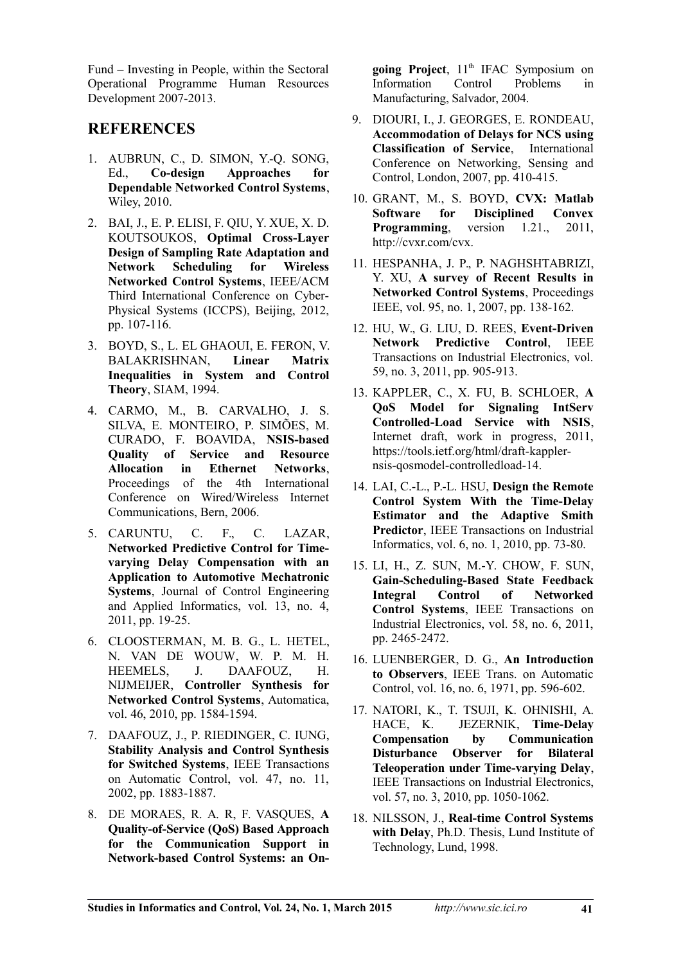Fund – Investing in People, within the Sectoral Operational Programme Human Resources Development 2007-2013.

# **REFERENCES**

- 1. AUBRUN, C., D. SIMON, Y.-Q. SONG, Ed., **Co-design Approaches for Dependable Networked Control Systems**, Wiley, 2010.
- 2. BAI, J., E. P. ELISI, F. QIU, Y. XUE, X. D. KOUTSOUKOS, **Optimal Cross-Layer Design of Sampling Rate Adaptation and Network Scheduling for Wireless Networked Control Systems**, IEEE/ACM Third International Conference on Cyber-Physical Systems (ICCPS), Beijing, 2012, pp. 107-116.
- 3. BOYD, S., L. EL GHAOUI, E. FERON, V. BALAKRISHNAN, **Linear Matrix Inequalities in System and Control Theory**, SIAM, 1994.
- 4. CARMO, M., B. CARVALHO, J. S. SILVA, E. MONTEIRO, P. SIMÕES, M. CURADO, F. BOAVIDA, **NSIS-based Quality of Service and Resource Allocation in Ethernet Networks**, Proceedings of the 4th International Conference on Wired/Wireless Internet Communications, Bern, 2006.
- 5. CARUNTU, C. F., C. LAZAR, **Networked Predictive Control for Timevarying Delay Compensation with an Application to Automotive Mechatronic Systems**, Journal of Control Engineering and Applied Informatics, vol. 13, no. 4, 2011, pp. 19-25.
- 6. CLOOSTERMAN, M. B. G., L. HETEL, N. VAN DE WOUW, W. P. M. H. HEEMELS, J. DAAFOUZ, H. NIJMEIJER, **Controller Synthesis for Networked Control Systems**, Automatica, vol. 46, 2010, pp. 1584-1594.
- 7. DAAFOUZ, J., P. RIEDINGER, C. IUNG, **Stability Analysis and Control Synthesis for Switched Systems**, IEEE Transactions on Automatic Control, vol. 47, no. 11, 2002, pp. 1883-1887.
- 8. DE MORAES, R. A. R, F. VASQUES, **A Quality-of-Service (QoS) Based Approach for the Communication Support in Network-based Control Systems: an On-**

going Project, 11<sup>th</sup> IFAC Symposium on Information Control Problems in Manufacturing, Salvador, 2004.

- 9. DIOURI, I., J. GEORGES, E. RONDEAU, **Accommodation of Delays for NCS using Classification of Service**, International Conference on Networking, Sensing and Control, London, 2007, pp. 410-415.
- 10. GRANT, M., S. BOYD, **CVX: Matlab Software for Disciplined Convex Programming**, version 1.21., 2011, http://cvxr.com/cvx.
- 11. HESPANHA, J. P., P. NAGHSHTABRIZI, Y. XU, **A survey of Recent Results in Networked Control Systems**, Proceedings IEEE, vol. 95, no. 1, 2007, pp. 138-162.
- 12. HU, W., G. LIU, D. REES, **Event-Driven Network Predictive Control**, IEEE Transactions on Industrial Electronics, vol. 59, no. 3, 2011, pp. 905-913.
- 13. KAPPLER, C., X. FU, B. SCHLOER, **A QoS Model for Signaling IntServ Controlled-Load Service with NSIS**, Internet draft, work in progress, 2011, https://tools.ietf.org/html/draft-kapplernsis-qosmodel-controlledload-14.
- 14. LAI, C.-L., P.-L. HSU, **Design the Remote Control System With the Time-Delay Estimator and the Adaptive Smith Predictor**, IEEE Transactions on Industrial Informatics, vol. 6, no. 1, 2010, pp. 73-80.
- 15. LI, H., Z. SUN, M.-Y. CHOW, F. SUN, **Gain-Scheduling-Based State Feedback Integral Control of Networked Control Systems**, IEEE Transactions on Industrial Electronics, vol. 58, no. 6, 2011, pp. 2465-2472.
- 16. LUENBERGER, D. G., **An Introduction to Observers**, IEEE Trans. on Automatic Control, vol. 16, no. 6, 1971, pp. 596-602.
- 17. NATORI, K., T. TSUJI, K. OHNISHI, A. HACE, K. JEZERNIK, **Time-Delay Compensation by Communication Disturbance Observer for Bilateral Teleoperation under Time-varying Delay**, IEEE Transactions on Industrial Electronics, vol. 57, no. 3, 2010, pp. 1050-1062.
- 18. NILSSON, J., **Real-time Control Systems with Delay**, Ph.D. Thesis, Lund Institute of Technology, Lund, 1998.